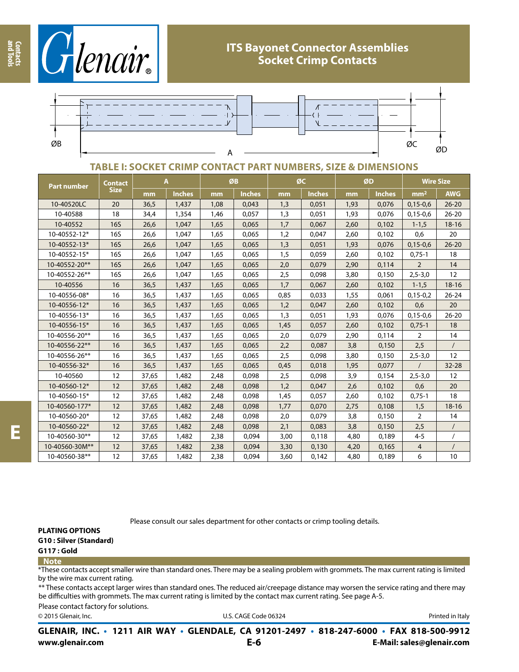



## **TABLE I: SOCKET CRIMP CONTACT PART NUMBERS, SIZE & DIMENSIONS**

| Part number    | <b>Contact</b><br>Size | A     |               | ØB   |               | ØC   |               | ØD   |               | <b>Wire Size</b> |                   |
|----------------|------------------------|-------|---------------|------|---------------|------|---------------|------|---------------|------------------|-------------------|
|                |                        | mm    | <b>Inches</b> | mm   | <b>Inches</b> | mm   | <b>Inches</b> | mm   | <b>Inches</b> | mm <sup>2</sup>  | <b>AWG</b>        |
| 10-40520LC     | 20                     | 36,5  | 1,437         | 1,08 | 0,043         | 1,3  | 0,051         | 1,93 | 0,076         | $0,15-0,6$       | $26 - 20$         |
| 10-40588       | 18                     | 34,4  | 1,354         | 1,46 | 0,057         | 1,3  | 0,051         | 1,93 | 0,076         | $0,15-0,6$       | $26 - 20$         |
| 10-40552       | <b>16S</b>             | 26,6  | 1,047         | 1,65 | 0,065         | 1,7  | 0,067         | 2,60 | 0,102         | $1 - 1, 5$       | $18 - 16$         |
| 10-40552-12*   | 16S                    | 26,6  | 1,047         | 1,65 | 0,065         | 1,2  | 0,047         | 2,60 | 0,102         | 0,6              | 20                |
| 10-40552-13*   | <b>16S</b>             | 26,6  | 1,047         | 1,65 | 0,065         | 1,3  | 0,051         | 1,93 | 0,076         | $0,15-0,6$       | $26 - 20$         |
| 10-40552-15*   | 16S                    | 26,6  | 1,047         | 1,65 | 0,065         | 1,5  | 0,059         | 2,60 | 0,102         | $0,75-1$         | 18                |
| 10-40552-20**  | 16S                    | 26,6  | 1,047         | 1,65 | 0,065         | 2,0  | 0,079         | 2,90 | 0,114         | $\overline{2}$   | 14                |
| 10-40552-26**  | 16S                    | 26,6  | 1,047         | 1,65 | 0,065         | 2,5  | 0,098         | 3,80 | 0,150         | $2,5 - 3,0$      | 12                |
| 10-40556       | 16                     | 36,5  | 1,437         | 1,65 | 0,065         | 1,7  | 0,067         | 2,60 | 0,102         | $1 - 1, 5$       | $18 - 16$         |
| 10-40556-08*   | 16                     | 36,5  | 1,437         | 1,65 | 0,065         | 0,85 | 0,033         | 1,55 | 0,061         | $0,15-0,2$       | $26 - 24$         |
| 10-40556-12*   | 16                     | 36,5  | 1,437         | 1,65 | 0,065         | 1,2  | 0,047         | 2,60 | 0,102         | 0,6              | 20                |
| 10-40556-13*   | 16                     | 36,5  | 1,437         | 1,65 | 0,065         | 1,3  | 0,051         | 1,93 | 0,076         | $0,15-0,6$       | $26 - 20$         |
| 10-40556-15*   | 16                     | 36,5  | 1,437         | 1,65 | 0,065         | 1,45 | 0,057         | 2,60 | 0,102         | $0,75-1$         | 18                |
| 10-40556-20**  | 16                     | 36,5  | 1,437         | 1,65 | 0,065         | 2,0  | 0,079         | 2,90 | 0,114         | 2                | 14                |
| 10-40556-22**  | 16                     | 36,5  | 1,437         | 1,65 | 0,065         | 2,2  | 0,087         | 3,8  | 0,150         | 2,5              | $\sqrt{ }$        |
| 10-40556-26**  | 16                     | 36,5  | 1,437         | 1,65 | 0,065         | 2,5  | 0,098         | 3,80 | 0,150         | $2,5 - 3,0$      | $12 \overline{ }$ |
| 10-40556-32*   | 16                     | 36,5  | 1,437         | 1,65 | 0,065         | 0,45 | 0,018         | 1,95 | 0,077         | $\prime$         | 32-28             |
| 10-40560       | 12                     | 37,65 | 1,482         | 2,48 | 0,098         | 2,5  | 0,098         | 3,9  | 0,154         | $2,5 - 3,0$      | 12                |
| 10-40560-12*   | 12                     | 37,65 | 1,482         | 2,48 | 0,098         | 1,2  | 0,047         | 2,6  | 0,102         | 0,6              | 20                |
| 10-40560-15*   | 12                     | 37,65 | 1,482         | 2,48 | 0,098         | 1,45 | 0,057         | 2,60 | 0,102         | $0,75-1$         | 18                |
| 10-40560-177*  | 12                     | 37,65 | 1,482         | 2,48 | 0,098         | 1,77 | 0,070         | 2,75 | 0,108         | 1,5              | $18 - 16$         |
| 10-40560-20*   | 12                     | 37,65 | 1,482         | 2,48 | 0,098         | 2,0  | 0,079         | 3,8  | 0,150         | 2                | 14                |
| 10-40560-22*   | 12                     | 37,65 | 1,482         | 2,48 | 0,098         | 2,1  | 0,083         | 3,8  | 0,150         | 2,5              | $\sqrt{2}$        |
| 10-40560-30**  | 12                     | 37,65 | 1,482         | 2,38 | 0,094         | 3,00 | 0,118         | 4,80 | 0,189         | $4 - 5$          |                   |
| 10-40560-30M** | 12                     | 37,65 | 1,482         | 2,38 | 0,094         | 3,30 | 0,130         | 4,20 | 0,165         | 4                |                   |
| 10-40560-38**  | 12                     | 37,65 | 1,482         | 2,38 | 0,094         | 3,60 | 0,142         | 4,80 | 0,189         | 6                | 10                |

Please consult our sales department for other contacts or crimp tooling details.

**PLATING OPTIONS**

**G10 : Silver (Standard)**

**G117 : Gold**

#### **Note**

\*These contacts accept smaller wire than standard ones. There may be a sealing problem with grommets. The max current rating is limited by the wire max current rating.

\*\* These contacts accept larger wires than standard ones. The reduced air/creepage distance may worsen the service rating and there may be difficulties with grommets. The max current rating is limited by the contact max current rating. See page A-5.

Please contact factory for solutions.

© 2015 Glenair, Inc. **Discription Construction Construction Construction Construction Construction Construction Construction Construction Construction Construction Construction Construction Construction Construction Constr** 

**www.glenair.com E-Mail: sales@glenair.com GLENAIR, INC. • 1211 AIR WAY • GLENDALE, CA 91201-2497 • 818-247-6000 • FAX 818-500-9912 E-6**